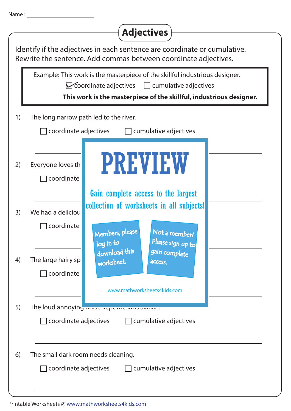| <b>Name</b> |  |
|-------------|--|
|             |  |

|                                                              | <b>Adjectives</b>                                                                                                                                                                                           |  |  |  |
|--------------------------------------------------------------|-------------------------------------------------------------------------------------------------------------------------------------------------------------------------------------------------------------|--|--|--|
|                                                              | Identify if the adjectives in each sentence are coordinate or cumulative.<br>Rewrite the sentence. Add commas between coordinate adjectives.                                                                |  |  |  |
|                                                              | Example: This work is the masterpiece of the skillful industrious designer.<br>Coordinate adjectives<br>$\Box$ cumulative adjectives<br>This work is the masterpiece of the skillful, industrious designer. |  |  |  |
| 1)                                                           | The long narrow path led to the river.                                                                                                                                                                      |  |  |  |
|                                                              | $\Box$ coordinate adjectives<br>$\Box$ cumulative adjectives                                                                                                                                                |  |  |  |
| 2)                                                           | <b>PREVIEW</b><br>Everyone loves the<br>coordinate                                                                                                                                                          |  |  |  |
|                                                              | Gain complete access to the largest                                                                                                                                                                         |  |  |  |
| 3)                                                           | collection of worksheets in all subjects!<br>We had a deliciou:                                                                                                                                             |  |  |  |
|                                                              | coordinate<br>Members, please<br>Not a member?<br>Please sign up to<br>log in to                                                                                                                            |  |  |  |
| 4)                                                           | download this<br>gain complete<br>The large hairy spi<br>worksheet.<br>access.                                                                                                                              |  |  |  |
|                                                              | coordinate<br>www.mathworksheets4kids.com                                                                                                                                                                   |  |  |  |
| 5)                                                           | The loud annoying Tivise Rept the Nus aware.                                                                                                                                                                |  |  |  |
| $\Box$ coordinate adjectives<br>$\Box$ cumulative adjectives |                                                                                                                                                                                                             |  |  |  |
| 6)                                                           | The small dark room needs cleaning.<br>coordinate adjectives<br>$\Box$ cumulative adjectives                                                                                                                |  |  |  |

Printable Worksheets @ www.mathworksheets4kids.com